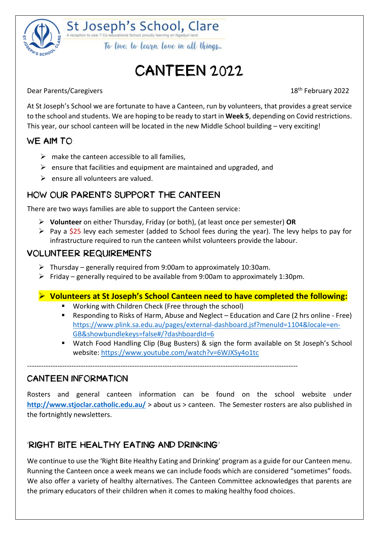

St Joseph's School, Clare To live to learn love in all things.

## CANTEEN 2022

Dear Parents/Caregivers 2022

At St Joseph's School we are fortunate to have a Canteen, run by volunteers, that provides a great service to the school and students. We are hoping to be ready to start in **Week 5**, depending on Covid restrictions. This year, our school canteen will be located in the new Middle School building – very exciting!

#### WE AIM TO:

- $\triangleright$  make the canteen accessible to all families,
- $\triangleright$  ensure that facilities and equipment are maintained and upgraded, and
- $\triangleright$  ensure all volunteers are valued.

#### HOW OUR PARENTS SUPPORT THE CANTEEN

There are two ways families are able to support the Canteen service:

- ➢ **Volunteer** on either Thursday, Friday (or both), (at least once per semester) **OR**
- $\triangleright$  Pay a \$25 levy each semester (added to School fees during the year). The levy helps to pay for infrastructure required to run the canteen whilst volunteers provide the labour.

#### VOLUNTEER REQUIREMENTS

- $\triangleright$  Thursday generally required from 9:00am to approximately 10:30am.
- ➢ Friday generally required to be available from 9:00am to approximately 1:30pm.

#### ➢ **Volunteers at St Joseph's School Canteen need to have completed the following:**

- Working with Children Check (Free through the school)
- Responding to Risks of Harm, Abuse and Neglect Education and Care (2 hrs online Free) [https://www.plink.sa.edu.au/pages/external-dashboard.jsf?menuId=1104&locale=en-](https://www.plink.sa.edu.au/pages/external-dashboard.jsf?menuId=1104&locale=en-GB&showbundlekeys=false#/?dashboardId=6)[GB&showbundlekeys=false#/?dashboardId=6](https://www.plink.sa.edu.au/pages/external-dashboard.jsf?menuId=1104&locale=en-GB&showbundlekeys=false#/?dashboardId=6)
- Watch Food Handling Clip (Bug Busters) & sign the form available on St Joseph's School website:<https://www.youtube.com/watch?v=6WJXSy4o1tc>

--------------------------------------------------------------------------------------------------------------------

#### CANTEEN INFORMATION

Rosters and general canteen information can be found on the school website under **<http://www.stjoclar.catholic.edu.au/>** > about us > canteen. The Semester rosters are also published in the fortnightly newsletters.

#### 'RIGHT BITE HEALTHY EATING AND DRINKING'

We continue to use the 'Right Bite Healthy Eating and Drinking' program as a guide for our Canteen menu. Running the Canteen once a week means we can include foods which are considered "sometimes" foods. We also offer a variety of healthy alternatives. The Canteen Committee acknowledges that parents are the primary educators of their children when it comes to making healthy food choices.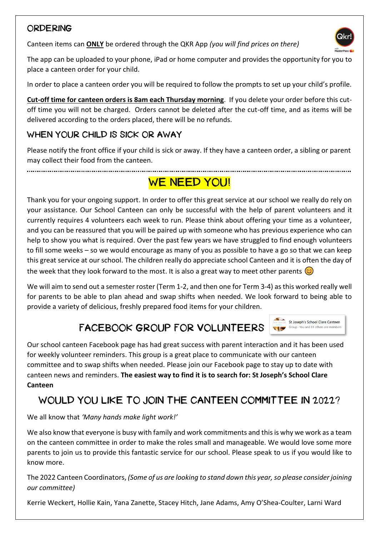#### ORDERING

Canteen items can **ONLY** be ordered through the QKR App *(you will find prices on there)* 



The app can be uploaded to your phone, iPad or home computer and provides the opportunity for you to place a canteen order for your child.

In order to place a canteen order you will be required to follow the prompts to set up your child's profile.

**Cut-off time for canteen orders is 8am each Thursday morning**. If you delete your order before this cutoff time you will not be charged. Orders cannot be deleted after the cut-off time, and as items will be delivered according to the orders placed, there will be no refunds.

### WHEN YOUR CHILD IS SICK OR AWAY

Please notify the front office if your child is sick or away. If they have a canteen order, a sibling or parent may collect their food from the canteen.

## WE NEED YOU!

Thank you for your ongoing support. In order to offer this great service at our school we really do rely on your assistance. Our School Canteen can only be successful with the help of parent volunteers and it currently requires 4 volunteers each week to run. Please think about offering your time as a volunteer, and you can be reassured that you will be paired up with someone who has previous experience who can help to show you what is required. Over the past few years we have struggled to find enough volunteers to fill some weeks – so we would encourage as many of you as possible to have a go so that we can keep this great service at our school. The children really do appreciate school Canteen and it is often the day of the week that they look forward to the most. It is also a great way to meet other parents  $\circled{c}$ 

We will aim to send out a semester roster (Term 1-2, and then one for Term 3-4) as this worked really well for parents to be able to plan ahead and swap shifts when needed. We look forward to being able to provide a variety of delicious, freshly prepared food items for your children.

St Joseph's School Clare Canteen Group You and 81 others are members

## FACEBOOK GROUP FOR VOLUNTEERS

Our school canteen Facebook page has had great success with parent interaction and it has been used for weekly volunteer reminders. This group is a great place to communicate with our canteen committee and to swap shifts when needed. Please join our Facebook page to stay up to date with canteen news and reminders. **The easiest way to find it is to search for: St Joseph's School Clare Canteen**

### WOULD YOU LIKE TO JOIN THE CANTEEN COMMITTEE IN 2022?

We all know that *'Many hands make light work!'*

We also know that everyone is busy with family and work commitments and this is why we work as a team on the canteen committee in order to make the roles small and manageable. We would love some more parents to join us to provide this fantastic service for our school. Please speak to us if you would like to know more.

The 2022 Canteen Coordinators, *(Some of us are looking to stand down this year, so please consider joining our committee)*

Kerrie Weckert, Hollie Kain, Yana Zanette, Stacey Hitch, Jane Adams, Amy O'Shea-Coulter, Larni Ward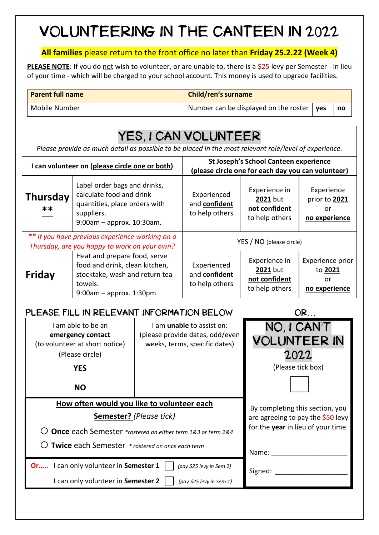## VOLUNTEERING IN THE CANTEEN IN 2022

#### **All families** please return to the front office no later than **Friday 25.2.22 (Week 4)**

**PLEASE NOTE:** If you do not wish to volunteer, or are unable to, there is a \$25 levy per Semester - in lieu of your time - which will be charged to your school account. This money is used to upgrade facilities.

| <b>Parent full name</b> | <b>Child/ren's surname</b>                        |  |    |
|-------------------------|---------------------------------------------------|--|----|
| Mobile Number           | Number can be displayed on the roster $\vert$ yes |  | no |

## YES, I CAN VOLUNTEER

*Please provide as much detail as possible to be placed in the most relevant role/level of experience.*

| I can volunteer on (please circle one or both)                                                  |                                                                                                                                           | St Joseph's School Canteen experience<br>(please circle one for each day you can volunteer) |                                                                     |                                                    |
|-------------------------------------------------------------------------------------------------|-------------------------------------------------------------------------------------------------------------------------------------------|---------------------------------------------------------------------------------------------|---------------------------------------------------------------------|----------------------------------------------------|
| <b>Thursday</b><br>**                                                                           | Label order bags and drinks,<br>calculate food and drink<br>quantities, place orders with<br>suppliers.<br>$9:00$ am – approx. 10:30am.   | Experienced<br>and confident<br>to help others                                              | Experience in<br><b>2021</b> but<br>not confident<br>to help others | Experience<br>prior to 2021<br>or<br>no experience |
| ** If you have previous experience working on a<br>Thursday, are you happy to work on your own? |                                                                                                                                           | YES / NO (please circle)                                                                    |                                                                     |                                                    |
| <b>Friday</b>                                                                                   | Heat and prepare food, serve<br>food and drink, clean kitchen,<br>stocktake, wash and return tea<br>towels.<br>$9:00$ am – approx. 1:30pm | Experienced<br>and confident<br>to help others                                              | Experience in<br><b>2021</b> but<br>not confident<br>to help others | Experience prior<br>to 2021<br>or<br>no experience |

| PLEASE FILL IN RELEVANT INFORMATION BELOW                                                                  | OR                                                                                                   |                                                                 |
|------------------------------------------------------------------------------------------------------------|------------------------------------------------------------------------------------------------------|-----------------------------------------------------------------|
| I am able to be an<br>emergency contact<br>(to volunteer at short notice)<br>(Please circle)<br><b>YES</b> | I am <b>unable</b> to assist on:<br>(please provide dates, odd/even<br>weeks, terms, specific dates) | NO, I CAN'T<br><b>VOLUNTEER IN</b><br>2022<br>(Please tick box) |
| <b>NO</b>                                                                                                  |                                                                                                      |                                                                 |
| How often would you like to volunteer each<br><b>Semester?</b> (Please tick)                               | By completing this section, you<br>are agreeing to pay the \$50 levy                                 |                                                                 |
| Once each Semester *rostered on either term 1&3 or term 2&4                                                | for the <b>year</b> in lieu of your time.                                                            |                                                                 |
| Twice each Semester * rostered on once each term                                                           | Name:                                                                                                |                                                                 |
| Or I can only volunteer in Semester 1                                                                      | Signed:                                                                                              |                                                                 |
| I can only volunteer in Semester 2                                                                         |                                                                                                      |                                                                 |